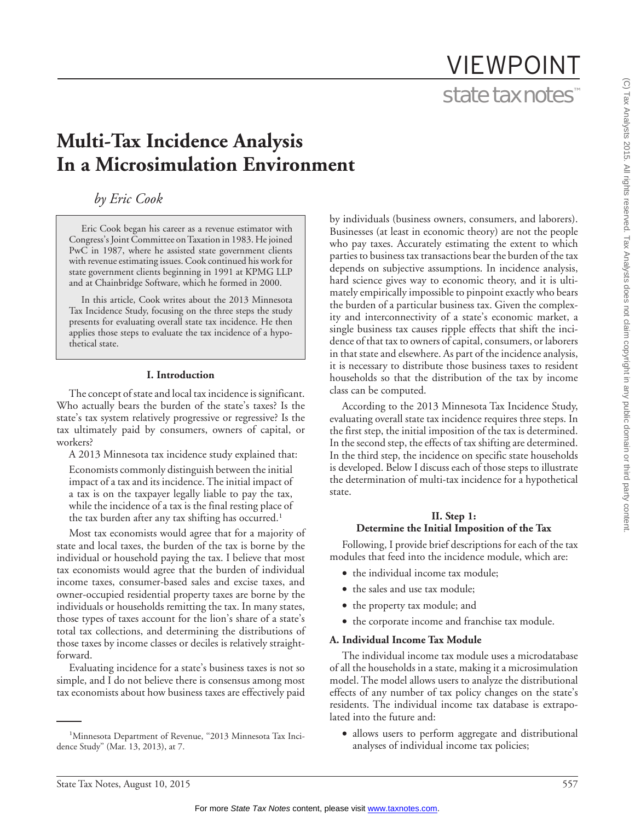# VIEWPOINT state tax notes™

# **Multi-Tax Incidence Analysis In a Microsimulation Environment**

# *by Eric Cook*

Eric Cook began his career as a revenue estimator with Congress's Joint Committee on Taxation in 1983. He joined PwC in 1987, where he assisted state government clients with revenue estimating issues. Cook continued his work for state government clients beginning in 1991 at KPMG LLP and at Chainbridge Software, which he formed in 2000.

In this article, Cook writes about the 2013 Minnesota Tax Incidence Study, focusing on the three steps the study presents for evaluating overall state tax incidence. He then applies those steps to evaluate the tax incidence of a hypothetical state.

#### **I. Introduction**

The concept of state and local tax incidence is significant. Who actually bears the burden of the state's taxes? Is the state's tax system relatively progressive or regressive? Is the tax ultimately paid by consumers, owners of capital, or workers?

A 2013 Minnesota tax incidence study explained that:

Economists commonly distinguish between the initial impact of a tax and its incidence. The initial impact of a tax is on the taxpayer legally liable to pay the tax, while the incidence of a tax is the final resting place of the tax burden after any tax shifting has occurred.<sup>1</sup>

Most tax economists would agree that for a majority of state and local taxes, the burden of the tax is borne by the individual or household paying the tax. I believe that most tax economists would agree that the burden of individual income taxes, consumer-based sales and excise taxes, and owner-occupied residential property taxes are borne by the individuals or households remitting the tax. In many states, those types of taxes account for the lion's share of a state's total tax collections, and determining the distributions of those taxes by income classes or deciles is relatively straightforward.

Evaluating incidence for a state's business taxes is not so simple, and I do not believe there is consensus among most tax economists about how business taxes are effectively paid

by individuals (business owners, consumers, and laborers). Businesses (at least in economic theory) are not the people who pay taxes. Accurately estimating the extent to which parties to business tax transactions bear the burden of the tax depends on subjective assumptions. In incidence analysis, hard science gives way to economic theory, and it is ultimately empirically impossible to pinpoint exactly who bears the burden of a particular business tax. Given the complexity and interconnectivity of a state's economic market, a single business tax causes ripple effects that shift the incidence of that tax to owners of capital, consumers, or laborers in that state and elsewhere. As part of the incidence analysis, it is necessary to distribute those business taxes to resident households so that the distribution of the tax by income class can be computed.

According to the 2013 Minnesota Tax Incidence Study, evaluating overall state tax incidence requires three steps. In the first step, the initial imposition of the tax is determined. In the second step, the effects of tax shifting are determined. In the third step, the incidence on specific state households is developed. Below I discuss each of those steps to illustrate the determination of multi-tax incidence for a hypothetical state.

### **II. Step 1: Determine the Initial Imposition of the Tax**

Following, I provide brief descriptions for each of the tax modules that feed into the incidence module, which are:

- the individual income tax module;
- the sales and use tax module;
- the property tax module; and
- the corporate income and franchise tax module.

### **A. Individual Income Tax Module**

The individual income tax module uses a microdatabase of all the households in a state, making it a microsimulation model. The model allows users to analyze the distributional effects of any number of tax policy changes on the state's residents. The individual income tax database is extrapolated into the future and:

• allows users to perform aggregate and distributional analyses of individual income tax policies;

<sup>&</sup>lt;sup>1</sup>Minnesota Department of Revenue, "2013 Minnesota Tax Incidence Study'' (Mar. 13, 2013), at 7.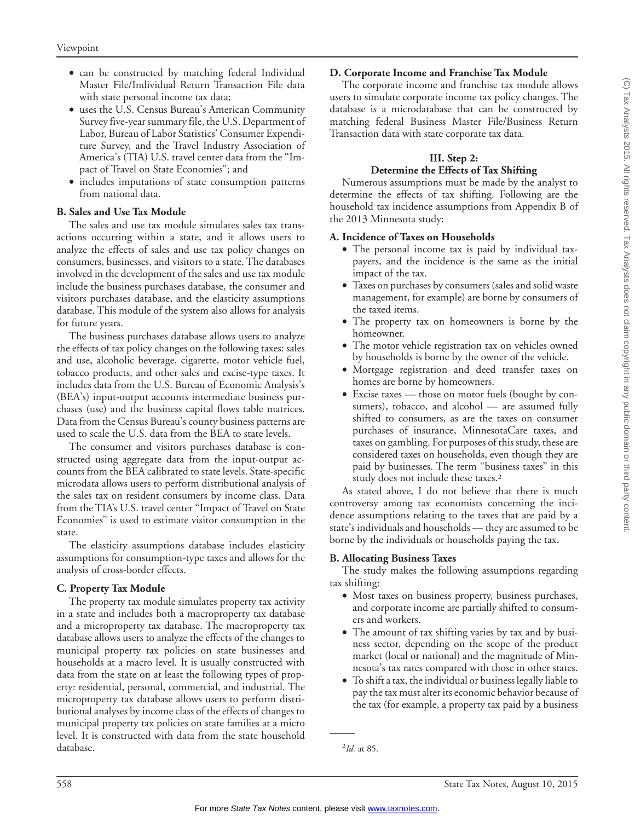- can be constructed by matching federal Individual Master File/Individual Return Transaction File data with state personal income tax data;
- uses the U.S. Census Bureau's American Community Survey five-year summary file, the U.S. Department of Labor, Bureau of Labor Statistics' Consumer Expenditure Survey, and the Travel Industry Association of America's (TIA) U.S. travel center data from the ''Impact of Travel on State Economies''; and
- includes imputations of state consumption patterns from national data.

# **B. Sales and Use Tax Module**

The sales and use tax module simulates sales tax transactions occurring within a state, and it allows users to analyze the effects of sales and use tax policy changes on consumers, businesses, and visitors to a state. The databases involved in the development of the sales and use tax module include the business purchases database, the consumer and visitors purchases database, and the elasticity assumptions database. This module of the system also allows for analysis for future years.

The business purchases database allows users to analyze the effects of tax policy changes on the following taxes: sales and use, alcoholic beverage, cigarette, motor vehicle fuel, tobacco products, and other sales and excise-type taxes. It includes data from the U.S. Bureau of Economic Analysis's (BEA's) input-output accounts intermediate business purchases (use) and the business capital flows table matrices. Data from the Census Bureau's county business patterns are used to scale the U.S. data from the BEA to state levels.

The consumer and visitors purchases database is constructed using aggregate data from the input-output accounts from the BEA calibrated to state levels. State-specific microdata allows users to perform distributional analysis of the sales tax on resident consumers by income class. Data from the TIA's U.S. travel center ''Impact of Travel on State Economies'' is used to estimate visitor consumption in the state.

The elasticity assumptions database includes elasticity assumptions for consumption-type taxes and allows for the analysis of cross-border effects.

### **C. Property Tax Module**

The property tax module simulates property tax activity in a state and includes both a macroproperty tax database and a microproperty tax database. The macroproperty tax database allows users to analyze the effects of the changes to municipal property tax policies on state businesses and households at a macro level. It is usually constructed with data from the state on at least the following types of property: residential, personal, commercial, and industrial. The microproperty tax database allows users to perform distributional analyses by income class of the effects of changes to municipal property tax policies on state families at a micro level. It is constructed with data from the state household database.

# **D. Corporate Income and Franchise Tax Module**

The corporate income and franchise tax module allows users to simulate corporate income tax policy changes. The database is a microdatabase that can be constructed by matching federal Business Master File/Business Return Transaction data with state corporate tax data.

# **III. Step 2:**

# **Determine the Effects of Tax Shifting**

Numerous assumptions must be made by the analyst to determine the effects of tax shifting. Following are the household tax incidence assumptions from Appendix B of the 2013 Minnesota study:

# **A. Incidence of Taxes on Households**

- The personal income tax is paid by individual taxpayers, and the incidence is the same as the initial impact of the tax.
- Taxes on purchases by consumers (sales and solid waste management, for example) are borne by consumers of the taxed items.
- The property tax on homeowners is borne by the homeowner.
- The motor vehicle registration tax on vehicles owned by households is borne by the owner of the vehicle.
- Mortgage registration and deed transfer taxes on homes are borne by homeowners.
- Excise taxes those on motor fuels (bought by consumers), tobacco, and alcohol — are assumed fully shifted to consumers, as are the taxes on consumer purchases of insurance, MinnesotaCare taxes, and taxes on gambling. For purposes of this study, these are considered taxes on households, even though they are paid by businesses. The term ''business taxes'' in this study does not include these taxes.<sup>2</sup>

As stated above, I do not believe that there is much controversy among tax economists concerning the incidence assumptions relating to the taxes that are paid by a state's individuals and households — they are assumed to be borne by the individuals or households paying the tax.

# **B. Allocating Business Taxes**

The study makes the following assumptions regarding tax shifting:

- Most taxes on business property, business purchases, and corporate income are partially shifted to consumers and workers.
- The amount of tax shifting varies by tax and by business sector, depending on the scope of the product market (local or national) and the magnitude of Minnesota's tax rates compared with those in other states.
- To shift a tax, the individual or business legally liable to pay the tax must alter its economic behavior because of the tax (for example, a property tax paid by a business

<sup>2</sup> *Id.* at 85.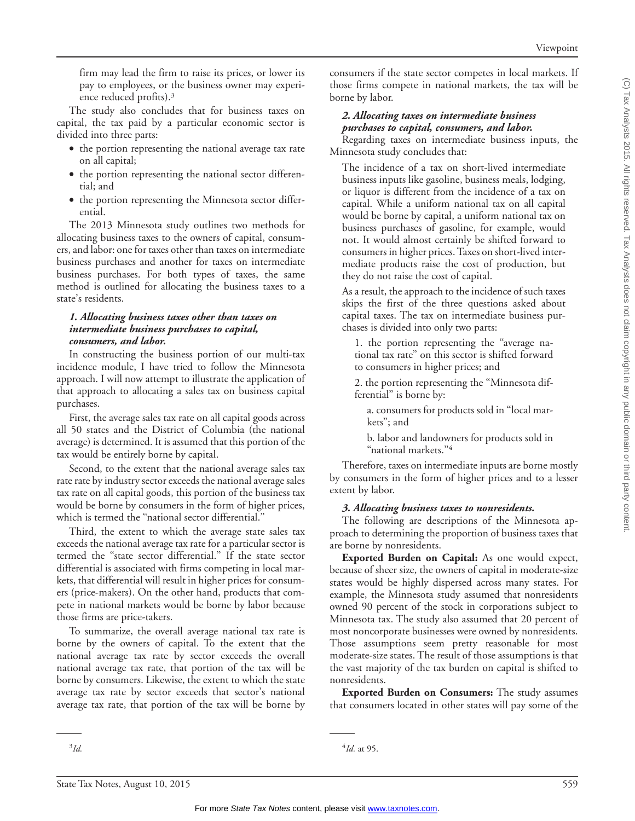firm may lead the firm to raise its prices, or lower its pay to employees, or the business owner may experience reduced profits).3

The study also concludes that for business taxes on capital, the tax paid by a particular economic sector is divided into three parts:

- the portion representing the national average tax rate on all capital;
- the portion representing the national sector differential; and
- the portion representing the Minnesota sector differential.

The 2013 Minnesota study outlines two methods for allocating business taxes to the owners of capital, consumers, and labor: one for taxes other than taxes on intermediate business purchases and another for taxes on intermediate business purchases. For both types of taxes, the same method is outlined for allocating the business taxes to a state's residents.

#### *1. Allocating business taxes other than taxes on intermediate business purchases to capital, consumers, and labor.*

In constructing the business portion of our multi-tax incidence module, I have tried to follow the Minnesota approach. I will now attempt to illustrate the application of that approach to allocating a sales tax on business capital purchases.

First, the average sales tax rate on all capital goods across all 50 states and the District of Columbia (the national average) is determined. It is assumed that this portion of the tax would be entirely borne by capital.

Second, to the extent that the national average sales tax rate rate by industry sector exceeds the national average sales tax rate on all capital goods, this portion of the business tax would be borne by consumers in the form of higher prices, which is termed the "national sector differential."

Third, the extent to which the average state sales tax exceeds the national average tax rate for a particular sector is termed the ''state sector differential.'' If the state sector differential is associated with firms competing in local markets, that differential will result in higher prices for consumers (price-makers). On the other hand, products that compete in national markets would be borne by labor because those firms are price-takers.

To summarize, the overall average national tax rate is borne by the owners of capital. To the extent that the national average tax rate by sector exceeds the overall national average tax rate, that portion of the tax will be borne by consumers. Likewise, the extent to which the state average tax rate by sector exceeds that sector's national average tax rate, that portion of the tax will be borne by

consumers if the state sector competes in local markets. If those firms compete in national markets, the tax will be borne by labor.

# *2. Allocating taxes on intermediate business purchases to capital, consumers, and labor.*

Regarding taxes on intermediate business inputs, the Minnesota study concludes that:

The incidence of a tax on short-lived intermediate business inputs like gasoline, business meals, lodging, or liquor is different from the incidence of a tax on capital. While a uniform national tax on all capital would be borne by capital, a uniform national tax on business purchases of gasoline, for example, would not. It would almost certainly be shifted forward to consumers in higher prices. Taxes on short-lived intermediate products raise the cost of production, but they do not raise the cost of capital.

As a result, the approach to the incidence of such taxes skips the first of the three questions asked about capital taxes. The tax on intermediate business purchases is divided into only two parts:

1. the portion representing the ''average national tax rate'' on this sector is shifted forward to consumers in higher prices; and

2. the portion representing the ''Minnesota differential'' is borne by:

a. consumers for products sold in ''local markets''; and

b. labor and landowners for products sold in "national markets."<sup>4</sup>

Therefore, taxes on intermediate inputs are borne mostly by consumers in the form of higher prices and to a lesser extent by labor.

### *3. Allocating business taxes to nonresidents.*

The following are descriptions of the Minnesota approach to determining the proportion of business taxes that are borne by nonresidents.

**Exported Burden on Capital:** As one would expect, because of sheer size, the owners of capital in moderate-size states would be highly dispersed across many states. For example, the Minnesota study assumed that nonresidents owned 90 percent of the stock in corporations subject to Minnesota tax. The study also assumed that 20 percent of most noncorporate businesses were owned by nonresidents. Those assumptions seem pretty reasonable for most moderate-size states. The result of those assumptions is that the vast majority of the tax burden on capital is shifted to nonresidents.

**Exported Burden on Consumers:** The study assumes that consumers located in other states will pay some of the

<sup>&</sup>lt;sup>4</sup>*Id.* at 95.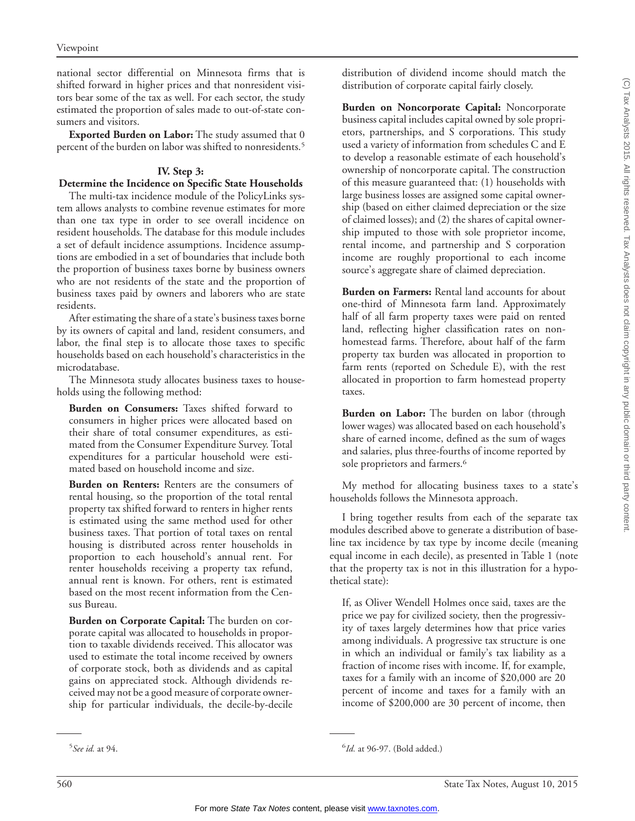national sector differential on Minnesota firms that is shifted forward in higher prices and that nonresident visitors bear some of the tax as well. For each sector, the study estimated the proportion of sales made to out-of-state consumers and visitors.

**Exported Burden on Labor:** The study assumed that 0 percent of the burden on labor was shifted to nonresidents.5

# **IV. Step 3:**

# **Determine the Incidence on Specific State Households**

The multi-tax incidence module of the PolicyLinks system allows analysts to combine revenue estimates for more than one tax type in order to see overall incidence on resident households. The database for this module includes a set of default incidence assumptions. Incidence assumptions are embodied in a set of boundaries that include both the proportion of business taxes borne by business owners who are not residents of the state and the proportion of business taxes paid by owners and laborers who are state residents.

After estimating the share of a state's business taxes borne by its owners of capital and land, resident consumers, and labor, the final step is to allocate those taxes to specific households based on each household's characteristics in the microdatabase.

The Minnesota study allocates business taxes to households using the following method:

**Burden on Consumers:** Taxes shifted forward to consumers in higher prices were allocated based on their share of total consumer expenditures, as estimated from the Consumer Expenditure Survey. Total expenditures for a particular household were estimated based on household income and size.

**Burden on Renters:** Renters are the consumers of rental housing, so the proportion of the total rental property tax shifted forward to renters in higher rents is estimated using the same method used for other business taxes. That portion of total taxes on rental housing is distributed across renter households in proportion to each household's annual rent. For renter households receiving a property tax refund, annual rent is known. For others, rent is estimated based on the most recent information from the Census Bureau.

**Burden on Corporate Capital:** The burden on corporate capital was allocated to households in proportion to taxable dividends received. This allocator was used to estimate the total income received by owners of corporate stock, both as dividends and as capital gains on appreciated stock. Although dividends received may not be a good measure of corporate ownership for particular individuals, the decile-by-decile distribution of dividend income should match the distribution of corporate capital fairly closely.

**Burden on Noncorporate Capital:** Noncorporate business capital includes capital owned by sole proprietors, partnerships, and S corporations. This study used a variety of information from schedules C and E to develop a reasonable estimate of each household's ownership of noncorporate capital. The construction of this measure guaranteed that: (1) households with large business losses are assigned some capital ownership (based on either claimed depreciation or the size of claimed losses); and (2) the shares of capital ownership imputed to those with sole proprietor income, rental income, and partnership and S corporation income are roughly proportional to each income source's aggregate share of claimed depreciation.

**Burden on Farmers:** Rental land accounts for about one-third of Minnesota farm land. Approximately half of all farm property taxes were paid on rented land, reflecting higher classification rates on nonhomestead farms. Therefore, about half of the farm property tax burden was allocated in proportion to farm rents (reported on Schedule E), with the rest allocated in proportion to farm homestead property taxes.

**Burden on Labor:** The burden on labor (through lower wages) was allocated based on each household's share of earned income, defined as the sum of wages and salaries, plus three-fourths of income reported by sole proprietors and farmers.<sup>6</sup>

My method for allocating business taxes to a state's households follows the Minnesota approach.

I bring together results from each of the separate tax modules described above to generate a distribution of baseline tax incidence by tax type by income decile (meaning equal income in each decile), as presented in Table 1 (note that the property tax is not in this illustration for a hypothetical state):

If, as Oliver Wendell Holmes once said, taxes are the price we pay for civilized society, then the progressivity of taxes largely determines how that price varies among individuals. A progressive tax structure is one in which an individual or family's tax liability as a fraction of income rises with income. If, for example, taxes for a family with an income of \$20,000 are 20 percent of income and taxes for a family with an income of \$200,000 are 30 percent of income, then

<sup>5</sup> *See id.* at 94. <sup>6</sup>

<sup>&</sup>lt;sup>6</sup>Id. at 96-97. (Bold added.)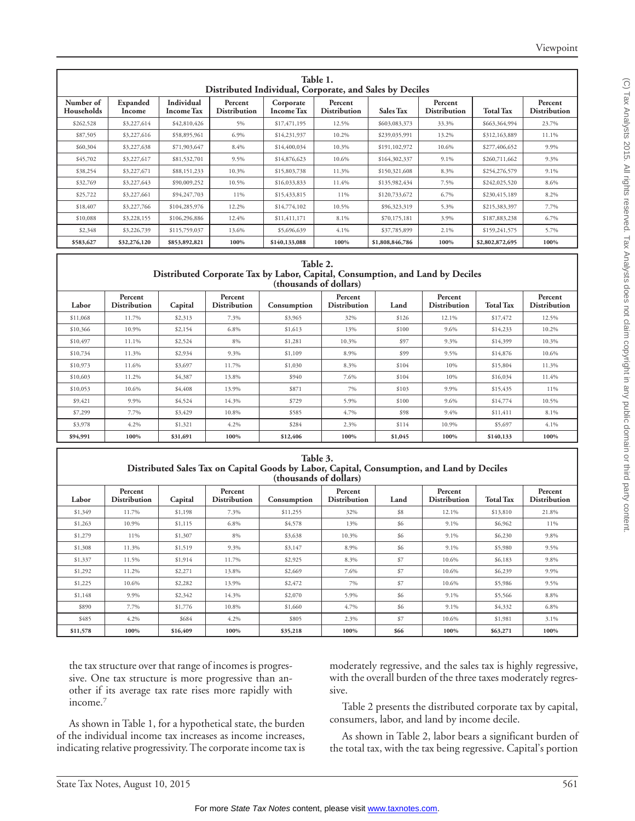| Table 1.<br>Distributed Individual, Corporate, and Sales by Deciles |                    |                                 |                                |                                |                                |                  |                                |                  |                                |  |  |
|---------------------------------------------------------------------|--------------------|---------------------------------|--------------------------------|--------------------------------|--------------------------------|------------------|--------------------------------|------------------|--------------------------------|--|--|
| Number of<br>Households                                             | Expanded<br>Income | Individual<br><b>Income Tax</b> | Percent<br><b>Distribution</b> | Corporate<br><b>Income Tax</b> | Percent<br><b>Distribution</b> | <b>Sales Tax</b> | Percent<br><b>Distribution</b> | <b>Total Tax</b> | Percent<br><b>Distribution</b> |  |  |
| \$262,528                                                           | \$3,227,614        | \$42,810,426                    | 5%                             | \$17,471,195                   | 12.5%                          | \$603,083,373    | 33.3%                          | \$663,364,994    | 23.7%                          |  |  |
| \$87,505                                                            | \$3,227,616        | \$58,895,961                    | 6.9%                           | \$14,231,937                   | 10.2%                          | \$239,035,991    | 13.2%                          | \$312,163,889    | 11.1%                          |  |  |
| \$60,304                                                            | \$3,227,638        | \$71,903,647                    | 8.4%                           | \$14,400,034                   | 10.3%                          | \$191,102,972    | 10.6%                          | \$277,406,652    | 9.9%                           |  |  |
| \$45,702                                                            | \$3,227,617        | \$81,532,701                    | 9.5%                           | \$14,876,623                   | 10.6%                          | \$164,302,337    | $9.1\%$                        | \$260,711,662    | 9.3%                           |  |  |
| \$38,254                                                            | \$3,227,671        | \$88,151,233                    | 10.3%                          | \$15,803,738                   | 11.3%                          | \$150,321,608    | 8.3%                           | \$254,276,579    | 9.1%                           |  |  |
| \$32,769                                                            | \$3,227,643        | \$90,009,252                    | 10.5%                          | \$16,033,833                   | 11.4%                          | \$135,982,434    | 7.5%                           | \$242,025,520    | 8.6%                           |  |  |
| \$25,722                                                            | \$3,227,661        | \$94,247,703                    | 11%                            | \$15,433,815                   | 11%                            | \$120,733,672    | 6.7%                           | \$230,415,189    | 8.2%                           |  |  |
| \$18,407                                                            | \$3,227,766        | \$104,285,976                   | 12.2%                          | \$14,774,102                   | 10.5%                          | \$96,323,319     | 5.3%                           | \$215,383,397    | 7.7%                           |  |  |
| \$10,088                                                            | \$3,228,155        | \$106,296,886                   | 12.4%                          | \$11,411,171                   | 8.1%                           | \$70,175,181     | 3.9%                           | \$187,883,238    | 6.7%                           |  |  |
| \$2,348                                                             | \$3,226,739        | \$115,759,037                   | 13.6%                          | \$5,696,639                    | 4.1%                           | \$37,785,899     | 2.1%                           | \$159,241,575    | 5.7%                           |  |  |
| \$583,627                                                           | \$32,276,120       | \$853,892,821                   | 100%                           | \$140,133,088                  | 100%                           | \$1,808,846,786  | 100%                           | \$2,802,872,695  | 100%                           |  |  |

| Table 2.                                 |  |  |
|------------------------------------------|--|--|
| e Tax by Labor, Capital, Consumption, an |  |  |

**Distributed Corporate Tax by Labor, Capital, Consumption, and Land by Deciles (thousands of dollars)**

| Labor    | Percent<br><b>Distribution</b> | Capital  | Percent<br><b>Distribution</b> | Consumption | Percent<br><b>Distribution</b> | Land    | Percent<br><b>Distribution</b> | <b>Total Tax</b> | Percent<br><b>Distribution</b> |
|----------|--------------------------------|----------|--------------------------------|-------------|--------------------------------|---------|--------------------------------|------------------|--------------------------------|
| \$11,068 | 11.7%                          | \$2,313  | 7.3%                           | \$3,965     | 32%                            | \$126   | 12.1%                          | \$17,472         | 12.5%                          |
| \$10,366 | 10.9%                          | \$2,154  | 6.8%                           | \$1,613     | 13%                            | \$100   | 9.6%                           | \$14,233         | 10.2%                          |
| \$10,497 | 11.1%                          | \$2,524  | 8%                             | \$1,281     | 10.3%                          | \$97    | 9.3%                           | \$14,399         | 10.3%                          |
| \$10,734 | 11.3%                          | \$2,934  | 9.3%                           | \$1,109     | 8.9%                           | \$99    | 9.5%                           | \$14,876         | 10.6%                          |
| \$10,973 | 11.6%                          | \$3,697  | 11.7%                          | \$1,030     | 8.3%                           | \$104   | 10%                            | \$15,804         | 11.3%                          |
| \$10,603 | 11.2%                          | \$4,387  | 13.8%                          | \$940       | 7.6%                           | \$104   | 10%                            | \$16,034         | 11.4%                          |
| \$10,053 | 10.6%                          | \$4,408  | 13.9%                          | \$871       | 7%                             | \$103   | 9.9%                           | \$15,435         | 11%                            |
| \$9,421  | 9.9%                           | \$4,524  | 14.3%                          | \$729       | 5.9%                           | \$100   | 9.6%                           | \$14,774         | 10.5%                          |
| \$7,299  | 7.7%                           | \$3,429  | 10.8%                          | \$585       | 4.7%                           | \$98    | 9.4%                           | \$11,411         | 8.1%                           |
| \$3,978  | 4.2%                           | \$1,321  | 4.2%                           | \$284       | 2.3%                           | \$114   | 10.9%                          | \$5,697          | 4.1%                           |
| \$94,991 | 100%                           | \$31,691 | 100%                           | \$12,406    | 100%                           | \$1,045 | 100%                           | \$140,133        | 100%                           |

| Table 3.                                                                                   |  |
|--------------------------------------------------------------------------------------------|--|
| Distributed Sales Tax on Capital Goods by Labor, Capital, Consumption, and Land by Deciles |  |
| (thousands of dollars)                                                                     |  |

| Labor    | Percent<br><b>Distribution</b> | Capital  | Percent<br><b>Distribution</b> | Consumption | Percent<br><b>Distribution</b> | Land | Percent<br><b>Distribution</b> | <b>Total Tax</b> | Percent<br><b>Distribution</b> |
|----------|--------------------------------|----------|--------------------------------|-------------|--------------------------------|------|--------------------------------|------------------|--------------------------------|
| \$1,349  | 11.7%                          | \$1,198  | 7.3%                           | \$11,255    | 32%                            | \$8  | 12.1%                          | \$13,810         | 21.8%                          |
| \$1,263  | 10.9%                          | \$1,115  | 6.8%                           | \$4,578     | 13%                            | \$6  | 9.1%                           | \$6,962          | 11%                            |
| \$1,279  | 11%                            | \$1,307  | 8%                             | \$3,638     | 10.3%                          | \$6  | 9.1%                           | \$6,230          | 9.8%                           |
| \$1,308  | 11.3%                          | \$1,519  | 9.3%                           | \$3,147     | 8.9%                           | \$6  | 9.1%                           | \$5,980          | 9.5%                           |
| \$1,337  | 11.5%                          | \$1,914  | 11.7%                          | \$2,925     | 8.3%                           | \$7  | 10.6%                          | \$6,183          | 9.8%                           |
| \$1,292  | 11.2%                          | \$2,271  | 13.8%                          | \$2,669     | 7.6%                           | \$7  | 10.6%                          | \$6,239          | 9.9%                           |
| \$1,225  | 10.6%                          | \$2,282  | 13.9%                          | \$2,472     | 7%                             | \$7  | 10.6%                          | \$5,986          | 9.5%                           |
| \$1,148  | 9.9%                           | \$2,342  | 14.3%                          | \$2,070     | 5.9%                           | \$6  | 9.1%                           | \$5,566          | 8.8%                           |
| \$890    | 7.7%                           | \$1,776  | 10.8%                          | \$1,660     | 4.7%                           | \$6  | 9.1%                           | \$4,332          | 6.8%                           |
| \$485    | 4.2%                           | \$684    | 4.2%                           | \$805       | 2.3%                           | \$7  | 10.6%                          | \$1,981          | 3.1%                           |
| \$11,578 | 100%                           | \$16,409 | 100%                           | \$35,218    | 100%                           | \$66 | 100%                           | \$63,271         | 100%                           |

the tax structure over that range of incomes is progressive. One tax structure is more progressive than another if its average tax rate rises more rapidly with income.7

As shown in Table 1, for a hypothetical state, the burden of the individual income tax increases as income increases, indicating relative progressivity. The corporate income tax is

moderately regressive, and the sales tax is highly regressive, with the overall burden of the three taxes moderately regressive.

Table 2 presents the distributed corporate tax by capital, consumers, labor, and land by income decile.

As shown in Table 2, labor bears a significant burden of the total tax, with the tax being regressive. Capital's portion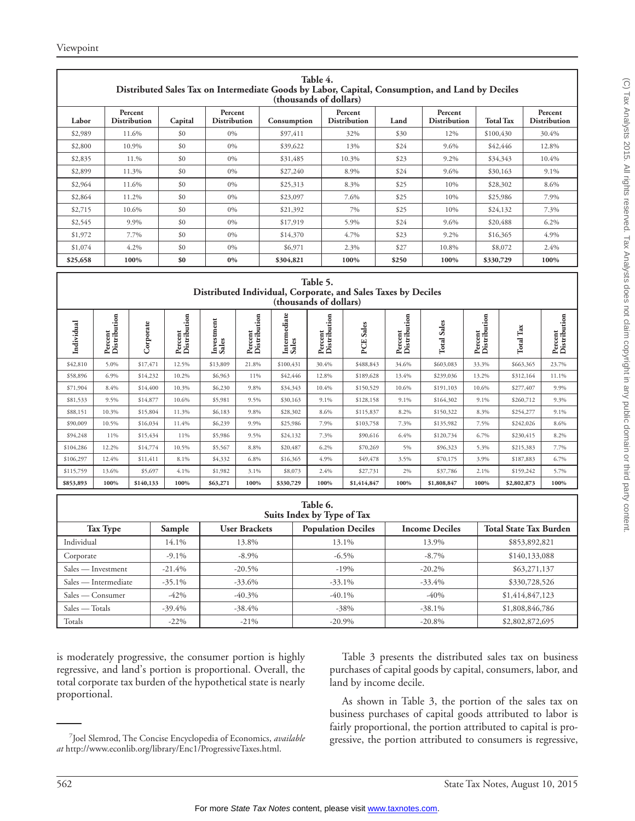| Table 4.<br>Distributed Sales Tax on Intermediate Goods by Labor, Capital, Consumption, and Land by Deciles<br>(thousands of dollars) |                                |         |                                |             |                         |       |                                |                  |                                |  |
|---------------------------------------------------------------------------------------------------------------------------------------|--------------------------------|---------|--------------------------------|-------------|-------------------------|-------|--------------------------------|------------------|--------------------------------|--|
| Labor                                                                                                                                 | Percent<br><b>Distribution</b> | Capital | Percent<br><b>Distribution</b> | Consumption | Percent<br>Distribution | Land  | Percent<br><b>Distribution</b> | <b>Total Tax</b> | Percent<br><b>Distribution</b> |  |
| \$2,989                                                                                                                               | 11.6%                          | \$0     | $0\%$                          | \$97,411    | 32%                     | \$30  | 12%                            | \$100,430        | 30.4%                          |  |
| \$2,800                                                                                                                               | 10.9%                          | \$0     | $0\%$                          | \$39,622    | 13%                     | \$24  | $9.6\%$                        | \$42,446         | 12.8%                          |  |
| \$2,835                                                                                                                               | 11.%                           | \$0     | $0\%$                          | \$31,485    | 10.3%                   | \$23  | $9.2\%$                        | \$34,343         | 10.4%                          |  |
| \$2,899                                                                                                                               | 11.3%                          | \$0     | $0\%$                          | \$27,240    | 8.9%                    | \$24  | $9.6\%$                        | \$30,163         | $9.1\%$                        |  |
| \$2,964                                                                                                                               | 11.6%                          | \$0     | $0\%$                          | \$25,313    | 8.3%                    | \$25  | 10%                            | \$28,302         | 8.6%                           |  |
| \$2,864                                                                                                                               | 11.2%                          | \$0     | $0\%$                          | \$23,097    | 7.6%                    | \$25  | 10%                            | \$25,986         | 7.9%                           |  |
| \$2,715                                                                                                                               | 10.6%                          | \$0     | $0\%$                          | \$21,392    | 7%                      | \$25  | 10%                            | \$24,132         | 7.3%                           |  |
| \$2,545                                                                                                                               | 9.9%                           | \$0     | $0\%$                          | \$17,919    | 5.9%                    | \$24  | $9.6\%$                        | \$20,488         | $6.2\%$                        |  |
| \$1,972                                                                                                                               | 7.7%                           | \$0     | $0\%$                          | \$14,370    | 4.7%                    | \$23  | $9.2\%$                        | \$16,365         | 4.9%                           |  |
| \$1,074                                                                                                                               | 4.2%                           | \$0     | $0\%$                          | \$6,971     | 2.3%                    | \$27  | 10.8%                          | \$8,072          | 2.4%                           |  |
| \$25,658                                                                                                                              | 100%                           | \$0     | $0\%$                          | \$304,821   | 100%                    | \$250 | 100%                           | \$330,729        | 100%                           |  |

#### **Table 5. Distributed Individual, Corporate, and Sales Taxes by Deciles (thousands of dollars)**

| Individual | Percent<br>Distribution | rate<br>e<br>e | Ξ<br>۵<br>٠ŏ<br>Percent<br>Distribu | ent<br>estm<br>೮<br>ડે<br>ᆿ | tion<br>Percent<br>Distribu | diate<br>۵<br>Interm<br>Ø.<br>Sale: | $\overline{\mathbf{5}}$<br>Έ<br>Percent<br>Distribu | Sales<br>PCE | Percent<br>Distribution | Sales<br>Total | ution<br>$_{\rm ent}$<br>Percent<br>Distribu | $\Gamma_{\rm ax}$<br>Total | Percent<br>Distribution |
|------------|-------------------------|----------------|-------------------------------------|-----------------------------|-----------------------------|-------------------------------------|-----------------------------------------------------|--------------|-------------------------|----------------|----------------------------------------------|----------------------------|-------------------------|
| \$42,810   | 5.0%                    | \$17,471       | 12.5%                               | \$13,809                    | 21.8%                       | \$100,431                           | 30.4%                                               | \$488,843    | 34.6%                   | \$603,083      | 33.3%                                        | \$663,365                  | 23.7%                   |
| \$58,896   | 6.9%                    | \$14,232       | 10.2%                               | \$6,963                     | 11%                         | \$42,446                            | 12.8%                                               | \$189,628    | 13.4%                   | \$239,036      | 13.2%                                        | \$312,164                  | 11.1%                   |
| \$71,904   | 8.4%                    | \$14,400       | 10.3%                               | \$6,230                     | 9.8%                        | \$34,343                            | 10.4%                                               | \$150,529    | 10.6%                   | \$191,103      | 10.6%                                        | \$277,407                  | 9.9%                    |
| \$81,533   | 9.5%                    | \$14,877       | 10.6%                               | \$5,981                     | 9.5%                        | \$30,163                            | 9.1%                                                | \$128,158    | 9.1%                    | \$164,302      | 9.1%                                         | \$260,712                  | 9.3%                    |
| \$88,151   | 10.3%                   | \$15,804       | 11.3%                               | \$6,183                     | 9.8%                        | \$28,302                            | 8.6%                                                | \$115,837    | 8.2%                    | \$150,322      | 8.3%                                         | \$254,277                  | 9.1%                    |
| \$90,009   | 10.5%                   | \$16,034       | 11.4%                               | \$6,239                     | 9.9%                        | \$25,986                            | 7.9%                                                | \$103,758    | 7.3%                    | \$135,982      | 7.5%                                         | \$242,026                  | 8.6%                    |
| \$94,248   | 11%                     | \$15,434       | 11%                                 | \$5,986                     | 9.5%                        | \$24,132                            | 7.3%                                                | \$90,616     | 6.4%                    | \$120,734      | 6.7%                                         | \$230,415                  | 8.2%                    |
| \$104,286  | 12.2%                   | \$14,774       | 10.5%                               | \$5,567                     | 8.8%                        | \$20,487                            | 6.2%                                                | \$70,269     | 5%                      | \$96,323       | 5.3%                                         | \$215,383                  | 7.7%                    |
| \$106,297  | 12.4%                   | \$11,411       | 8.1%                                | \$4,332                     | 6.8%                        | \$16,365                            | 4.9%                                                | \$49,478     | 3.5%                    | \$70,175       | 3.9%                                         | \$187,883                  | 6.7%                    |
| \$115,759  | 13.6%                   | \$5,697        | 4.1%                                | \$1,982                     | 3.1%                        | \$8,073                             | 2.4%                                                | \$27,731     | 2%                      | \$37,786       | 2.1%                                         | \$159,242                  | 5.7%                    |
| \$853,893  | 100%                    | \$140,133      | 100%                                | \$63,271                    | 100%                        | \$330,729                           | 100%                                                | \$1,414,847  | 100%                    | \$1,808,847    | 100%                                         | \$2,802,873                | 100%                    |

| Table 6.<br>Suits Index by Type of Tax |           |                      |                           |                       |                               |  |  |  |  |
|----------------------------------------|-----------|----------------------|---------------------------|-----------------------|-------------------------------|--|--|--|--|
| Tax Type                               | Sample    | <b>User Brackets</b> | <b>Population Deciles</b> | <b>Income Deciles</b> | <b>Total State Tax Burden</b> |  |  |  |  |
| Individual                             | 14.1%     | 13.8%                | 13.1%                     | 13.9%                 | \$853,892,821                 |  |  |  |  |
| Corporate                              | $-9.1\%$  | $-8.9\%$             | $-6.5\%$                  | $-8.7\%$              | \$140,133,088                 |  |  |  |  |
| Sales — Investment                     | $-21.4%$  | $-20.5\%$            | $-19%$                    | $-20.2%$              | \$63,271,137                  |  |  |  |  |
| Sales — Intermediate                   | $-35.1\%$ | $-33.6\%$            | $-33.1\%$                 | $-33.4%$              | \$330,728,526                 |  |  |  |  |
| Sales — Consumer                       | $-42\%$   | $-40.3\%$            | $-40.1\%$                 | $-40%$                | \$1,414,847,123               |  |  |  |  |
| Sales — Totals                         | $-39.4\%$ | $-38.4%$             | $-38%$                    | $-38.1%$              | \$1,808,846,786               |  |  |  |  |
| Totals                                 | $-22\%$   | $-21\%$              | $-20.9\%$                 | $-20.8%$              | \$2,802,872,695               |  |  |  |  |

is moderately progressive, the consumer portion is highly regressive, and land's portion is proportional. Overall, the total corporate tax burden of the hypothetical state is nearly proportional.

Table 3 presents the distributed sales tax on business purchases of capital goods by capital, consumers, labor, and land by income decile.

As shown in Table 3, the portion of the sales tax on business purchases of capital goods attributed to labor is fairly proportional, the portion attributed to capital is progressive, the portion attributed to consumers is regressive, <sup>7</sup>

Joel Slemrod, The Concise Encyclopedia of Economics, *available at* http://www.econlib.org/library/Enc1/ProgressiveTaxes.html.